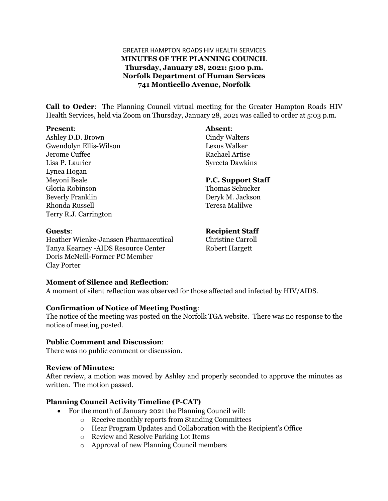## GREATER HAMPTON ROADS HIV HEALTH SERVICES **MINUTES OF THE PLANNING COUNCIL Thursday, January 28, 2021: 5:00 p.m. Norfolk Department of Human Services 741 Monticello Avenue, Norfolk**

**Call to Order**: The Planning Council virtual meeting for the Greater Hampton Roads HIV Health Services, held via Zoom on Thursday, January 28, 2021 was called to order at 5:03 p.m.

#### **Present**: **Absent**:

Ashley D.D. Brown Cindy Walters Gwendolyn Ellis-Wilson Lexus Walker Jerome Cuffee Rachael Artise Lisa P. Laurier Syreeta Dawkins Lynea Hogan Meyoni Beale **P.C. Support Staff** Gloria Robinson Thomas Schucker Beverly Franklin Deryk M. Jackson Rhonda Russell Teresa Malilwe Terry R.J. Carrington

Heather Wienke-Janssen Pharmaceutical Christine Carroll Tanya Kearney -AIDS Resource Center Robert Hargett Doris McNeill-Former PC Member Clay Porter

**Guests**: **Recipient Staff**

#### **Moment of Silence and Reflection**:

A moment of silent reflection was observed for those affected and infected by HIV/AIDS.

#### **Confirmation of Notice of Meeting Posting**:

The notice of the meeting was posted on the Norfolk TGA website. There was no response to the notice of meeting posted.

#### **Public Comment and Discussion**:

There was no public comment or discussion.

#### **Review of Minutes:**

After review, a motion was moved by Ashley and properly seconded to approve the minutes as written. The motion passed.

## **Planning Council Activity Timeline (P-CAT)**

- For the month of January 2021 the Planning Council will:
	- o Receive monthly reports from Standing Committees
	- o Hear Program Updates and Collaboration with the Recipient's Office
	- o Review and Resolve Parking Lot Items
	- o Approval of new Planning Council members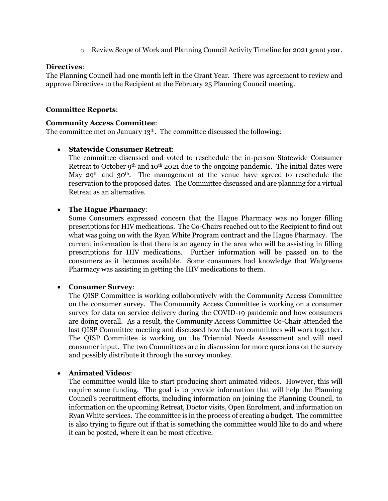o Review Scope of Work and Planning Council Activity Timeline for 2021 grant year.

## **Directives**:

The Planning Council had one month left in the Grant Year. There was agreement to review and approve Directives to the Recipient at the February 25 Planning Council meeting.

## **Committee Reports**:

#### **Community Access Committee**:

The committee met on January 13<sup>th</sup>. The committee discussed the following:

## • **Statewide Consumer Retreat**:

The committee discussed and voted to reschedule the in-person Statewide Consumer Retreat to October  $9<sup>th</sup>$  and  $10<sup>th</sup>$  2021 due to the ongoing pandemic. The initial dates were May 29<sup>th</sup> and 30<sup>th</sup>. The management at the venue have agreed to reschedule the reservation to the proposed dates. The Committee discussed and are planning for a virtual Retreat as an alternative.

## • **The Hague Pharmacy**:

Some Consumers expressed concern that the Hague Pharmacy was no longer filling prescriptions for HIV medications. The Co-Chairs reached out to the Recipient to find out what was going on with the Ryan White Program contract and the Hague Pharmacy. The current information is that there is an agency in the area who will be assisting in filling prescriptions for HIV medications. Further information will be passed on to the consumers as it becomes available. Some consumers had knowledge that Walgreens Pharmacy was assisting in getting the HIV medications to them.

## • **Consumer Survey**:

The QISP Committee is working collaboratively with the Community Access Committee on the consumer survey. The Community Access Committee is working on a consumer survey for data on service delivery during the COVID-19 pandemic and how consumers are doing overall. As a result, the Community Access Committee Co-Chair attended the last QISP Committee meeting and discussed how the two committees will work together. The QISP Committee is working on the Triennial Needs Assessment and will need consumer input. The two Committees are in discussion for more questions on the survey and possibly distribute it through the survey monkey.

## • **Animated Videos**:

The committee would like to start producing short animated videos. However, this will require some funding. The goal is to provide information that will help the Planning Council's recruitment efforts, including information on joining the Planning Council, to information on the upcoming Retreat, Doctor visits, Open Enrolment, and information on Ryan White services. The committee is in the process of creating a budget. The committee is also trying to figure out if that is something the committee would like to do and where it can be posted, where it can be most effective.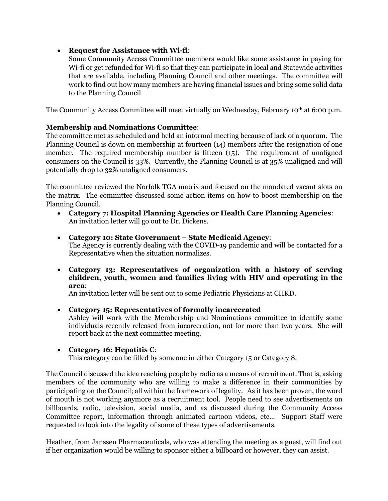• **Request for Assistance with Wi-fi**:

Some Community Access Committee members would like some assistance in paying for Wi-fi or get refunded for Wi-fi so that they can participate in local and Statewide activities that are available, including Planning Council and other meetings. The committee will work to find out how many members are having financial issues and bring some solid data to the Planning Council

The Community Access Committee will meet virtually on Wednesday, February 10th at 6:00 p.m.

# **Membership and Nominations Committee**:

The committee met as scheduled and held an informal meeting because of lack of a quorum. The Planning Council is down on membership at fourteen (14) members after the resignation of one member. The required membership number is fifteen (15). The requirement of unaligned consumers on the Council is 33%. Currently, the Planning Council is at 35% unaligned and will potentially drop to 32% unaligned consumers.

The committee reviewed the Norfolk TGA matrix and focused on the mandated vacant slots on the matrix. The committee discussed some action items on how to boost membership on the Planning Council.

- **Category 7: Hospital Planning Agencies or Health Care Planning Agencies**: An invitation letter will go out to Dr. Dickens.
- **Category 10: State Government – State Medicaid Agency**: The Agency is currently dealing with the COVID-19 pandemic and will be contacted for a Representative when the situation normalizes.
- **Category 13: Representatives of organization with a history of serving children, youth, women and families living with HIV and operating in the area**:

An invitation letter will be sent out to some Pediatric Physicians at CHKD.

- **Category 15: Representatives of formally incarcerated** Ashley will work with the Membership and Nominations committee to identify some individuals recently released from incarceration, not for more than two years. She will report back at the next committee meeting.
- **Category 16: Hepatitis C**:

This category can be filled by someone in either Category 15 or Category 8.

The Council discussed the idea reaching people by radio as a means of recruitment. That is, asking members of the community who are willing to make a difference in their communities by participating on the Council; all within the framework of legality. As it has been proven, the word of mouth is not working anymore as a recruitment tool. People need to see advertisements on billboards, radio, television, social media, and as discussed during the Community Access Committee report, information through animated cartoon videos, etc… Support Staff were requested to look into the legality of some of these types of advertisements.

Heather, from Janssen Pharmaceuticals, who was attending the meeting as a guest, will find out if her organization would be willing to sponsor either a billboard or however, they can assist.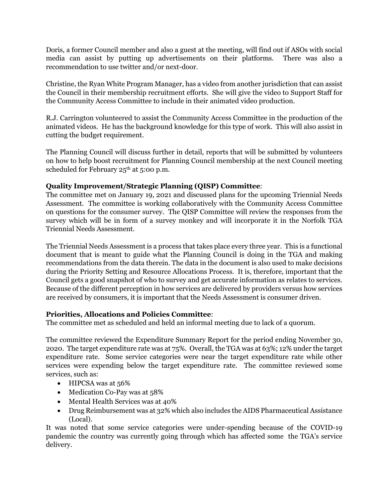Doris, a former Council member and also a guest at the meeting, will find out if ASOs with social media can assist by putting up advertisements on their platforms. There was also a recommendation to use twitter and/or next-door.

Christine, the Ryan White Program Manager, has a video from another jurisdiction that can assist the Council in their membership recruitment efforts. She will give the video to Support Staff for the Community Access Committee to include in their animated video production.

R.J. Carrington volunteered to assist the Community Access Committee in the production of the animated videos. He has the background knowledge for this type of work. This will also assist in cutting the budget requirement.

The Planning Council will discuss further in detail, reports that will be submitted by volunteers on how to help boost recruitment for Planning Council membership at the next Council meeting scheduled for February  $25<sup>th</sup>$  at 5:00 p.m.

# **Quality Improvement/Strategic Planning (QISP) Committee**:

The committee met on January 19, 2021 and discussed plans for the upcoming Triennial Needs Assessment. The committee is working collaboratively with the Community Access Committee on questions for the consumer survey. The QISP Committee will review the responses from the survey which will be in form of a survey monkey and will incorporate it in the Norfolk TGA Triennial Needs Assessment.

The Triennial Needs Assessment is a process that takes place every three year. This is a functional document that is meant to guide what the Planning Council is doing in the TGA and making recommendations from the data therein. The data in the document is also used to make decisions during the Priority Setting and Resource Allocations Process. It is, therefore, important that the Council gets a good snapshot of who to survey and get accurate information as relates to services. Because of the different perception in how services are delivered by providers versus how services are received by consumers, it is important that the Needs Assessment is consumer driven.

# **Priorities, Allocations and Policies Committee**:

The committee met as scheduled and held an informal meeting due to lack of a quorum.

The committee reviewed the Expenditure Summary Report for the period ending November 30, 2020. The target expenditure rate was at 75%. Overall, the TGA was at 63%; 12% under the target expenditure rate. Some service categories were near the target expenditure rate while other services were expending below the target expenditure rate. The committee reviewed some services, such as:

- HIPCSA was at 56%
- Medication Co-Pay was at 58%
- Mental Health Services was at 40%
- Drug Reimbursement was at 32% which also includes the AIDS Pharmaceutical Assistance (Local).

It was noted that some service categories were under-spending because of the COVID-19 pandemic the country was currently going through which has affected some the TGA's service delivery.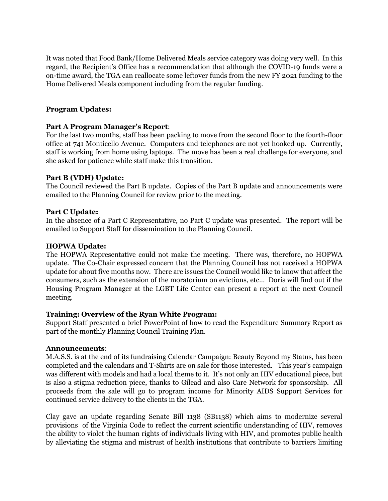It was noted that Food Bank/Home Delivered Meals service category was doing very well. In this regard, the Recipient's Office has a recommendation that although the COVID-19 funds were a on-time award, the TGA can reallocate some leftover funds from the new FY 2021 funding to the Home Delivered Meals component including from the regular funding.

# **Program Updates:**

## **Part A Program Manager's Report**:

For the last two months, staff has been packing to move from the second floor to the fourth-floor office at 741 Monticello Avenue. Computers and telephones are not yet hooked up. Currently, staff is working from home using laptops. The move has been a real challenge for everyone, and she asked for patience while staff make this transition.

# **Part B (VDH) Update:**

The Council reviewed the Part B update. Copies of the Part B update and announcements were emailed to the Planning Council for review prior to the meeting.

# **Part C Update:**

In the absence of a Part C Representative, no Part C update was presented. The report will be emailed to Support Staff for dissemination to the Planning Council.

# **HOPWA Update:**

The HOPWA Representative could not make the meeting. There was, therefore, no HOPWA update. The Co-Chair expressed concern that the Planning Council has not received a HOPWA update for about five months now. There are issues the Council would like to know that affect the consumers, such as the extension of the moratorium on evictions, etc… Doris will find out if the Housing Program Manager at the LGBT Life Center can present a report at the next Council meeting.

## **Training: Overview of the Ryan White Program:**

Support Staff presented a brief PowerPoint of how to read the Expenditure Summary Report as part of the monthly Planning Council Training Plan.

## **Announcements**:

M.A.S.S. is at the end of its fundraising Calendar Campaign: Beauty Beyond my Status, has been completed and the calendars and T-Shirts are on sale for those interested. This year's campaign was different with models and had a local theme to it. It's not only an HIV educational piece, but is also a stigma reduction piece, thanks to Gilead and also Care Network for sponsorship. All proceeds from the sale will go to program income for Minority AIDS Support Services for continued service delivery to the clients in the TGA.

Clay gave an update regarding Senate Bill 1138 (SB1138) which aims to modernize several provisions of the Virginia Code to reflect the current scientific understanding of HIV, removes the ability to violet the human rights of individuals living with HIV, and promotes public health by alleviating the stigma and mistrust of health institutions that contribute to barriers limiting